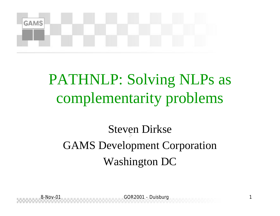

#### PATHNLP: Solving NLPs as complementarity problems

#### Steven Dirkse GAMS Development Corporation Washington DC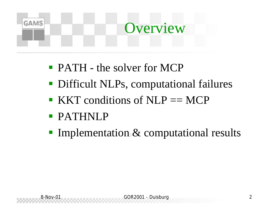# **GAMS Overview**

- **PATH** the solver for MCP
- **Difficult NLPs, computational failures**
- $\blacksquare$  KKT conditions of NLP == MCP
- ß PATHNLP
- **Implementation & computational results**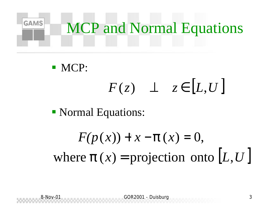

 $\blacksquare$  MCP:

 $F(z)$   $\perp$   $z \in [L, U]$ 

• Normal Equations:

where  $\boldsymbol{p}(x)$  = projection onto  $[L, U]$  $F(p(x)) + x - p(x) = 0,$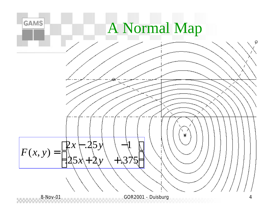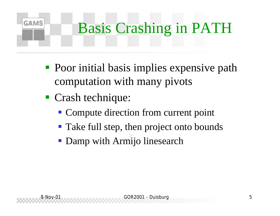#### **GAMS** Basis Crashing in PATH

- **Poor initial basis implies expensive path** computation with many pivots
- Crash technique:
	- Compute direction from current point
	- Take full step, then project onto bounds
	- **Damp with Armijo linesearch**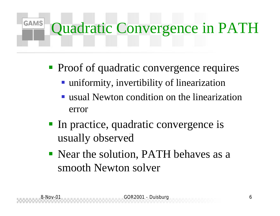#### **GAMS** Quadratic Convergence in PATH

- Proof of quadratic convergence requires
	- uniformity, invertibility of linearization
	- ß usual Newton condition on the linearization error
- In practice, quadratic convergence is usually observed
- Near the solution, PATH behaves as a smooth Newton solver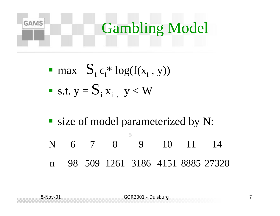

\n- max 
$$
S_i c_i^* \log(f(x_i, y))
$$
\n- s.t.  $y = S_i x_i$ ,  $y \leq W$
\n

■ size of model parameterized by N: ÷. N 6 7 8 9 10 11 14 n 98 509 1261 3186 4151 8885 27328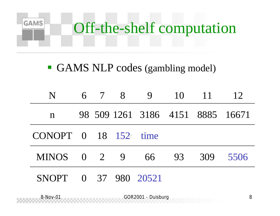

#### GAMS NLP codes (gambling model)

| N                                              |  | 6 7 8 | 9                                |    | 10 11 | 12   |
|------------------------------------------------|--|-------|----------------------------------|----|-------|------|
| n                                              |  |       | 98 509 1261 3186 4151 8885 16671 |    |       |      |
| $CONOPT \quad 0 \quad 18 \quad 152 \quad time$ |  |       |                                  |    |       |      |
| MINOS 0 2 9 66                                 |  |       |                                  | 93 | 309   | 5506 |
| <b>SNOPT</b>                                   |  |       | 0 37 980 20521                   |    |       |      |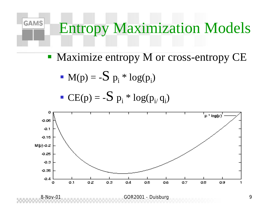#### Entropy Maximization Models

• Maximize entropy M or cross-entropy CE

• 
$$
M(p) = -S p_i * log(p_i)
$$

**GAMS** 

$$
\textbf{C}E(p) = -S\ p_i \ast \log(p_i,q_i)
$$

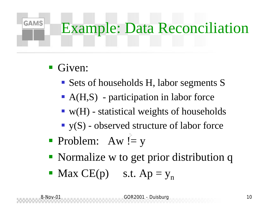# Example: Data Reconciliation

 $\blacksquare$  Given:

**GAMS** 

- Sets of households H, labor segments S
- $A(H,S)$  participation in labor force
- $\bullet$  w(H) statistical weights of households
- $\blacksquare$  y(S) observed structure of labor force
- Problem:  $Aw := y$
- Normalize w to get prior distribution q
- Max  $CE(p)$  s.t.  $Ap = y_n$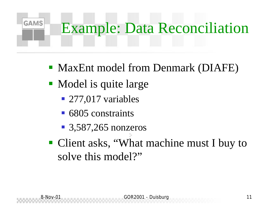#### **GAMS** Example: Data Reconciliation

- MaxEnt model from Denmark (DIAFE)
- Model is quite large
	- $\blacksquare$  277,017 variables
	- 6805 constraints
	- $\blacksquare$  3,587,265 nonzeros
- Client asks, "What machine must I buy to solve this model?"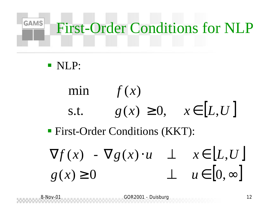### GAMS First-Order Conditions for NLP

#### ß NLP:

min 
$$
f(x)
$$
  
s.t.  $g(x) \ge 0$ ,  $x \in [L, U]$ 

#### **First-Order Conditions (KKT):**

$$
\nabla f(x) - \nabla g(x) \cdot u \quad \perp \quad x \in [L, U]
$$
  

$$
g(x) \ge 0 \qquad \perp \quad u \in [0, \infty]
$$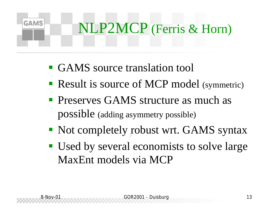# **GAMS** NLP2MCP (Ferris & Horn)

- ß GAMS source translation tool
- Result is source of MCP model (symmetric)
- **Preserves GAMS structure as much as** possible (adding asymmetry possible)
- Not completely robust wrt. GAMS syntax
- Used by several economists to solve large MaxEnt models via MCP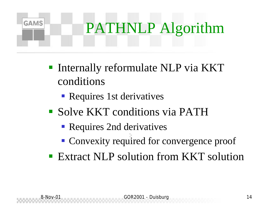### **GAMS** PATHNLP Algorithm

- **Internally reformulate NLP via KKT** conditions
	- Requires 1st derivatives
- **Solve KKT conditions via PATH** 
	- Requires 2nd derivatives
	- Convexity required for convergence proof
- Extract NLP solution from KKT solution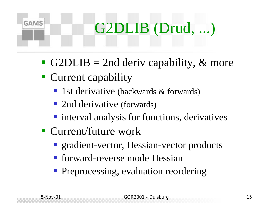

- G2DLIB = 2nd deriv capability,  $\&$  more
- Current capability
	- 1st derivative (backwards & forwards)
	- 2nd derivative (forwards)
	- **n** interval analysis for functions, derivatives
- Current/future work
	- **Exercise gradient-vector, Hessian-vector products**
	- forward-reverse mode Hessian
	- Preprocessing, evaluation reordering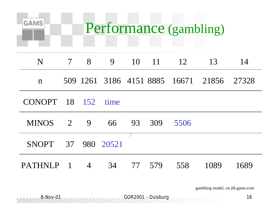| <b>GAMS</b><br>Performance (gambling) |                          |                |             |    |               |      |                                           |      |
|---------------------------------------|--------------------------|----------------|-------------|----|---------------|------|-------------------------------------------|------|
| N                                     | $\overline{\mathcal{L}}$ | $\overline{8}$ | 9           |    | $10 \quad 11$ | 12   | 13                                        | 14   |
| $\mathbf n$                           |                          |                |             |    |               |      | 509 1261 3186 4151 8885 16671 21856 27328 |      |
| $CONOPT$ 18 152                       |                          |                | time        |    |               |      |                                           |      |
| $MINOS$ 2 9                           |                          |                | 66 93 309   |    |               | 5506 |                                           |      |
| SNOPT 37 980 20521                    |                          |                |             | ×, |               |      |                                           |      |
| <b>PATHNLP</b>                        | $\overline{1}$           |                | 4 34 77 579 |    |               | 558  | 1089                                      | 1689 |

gambling model, on jfk.gams.com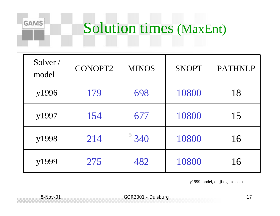#### Solution times (MaxEnt)

| Solver /<br>model | CONOPT2 | <b>MINOS</b> | <b>SNOPT</b> | <b>PATHNLP</b> |
|-------------------|---------|--------------|--------------|----------------|
| y1996             | 179     | 698          | 10800        | 18             |
| y1997             | 154     | 677          | 10800        | 15             |
| y1998             | 214     | 340          | 10800        | 16             |
| y1999             | 275     | 482          | 10800        | 16             |

y1999 model, on jfk.gams.com

**GAMS**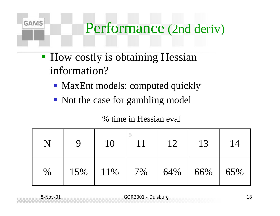#### Performance (2nd deriv)

**How costly is obtaining Hessian** information?

**GAMS** 

- MaxEnt models: computed quickly
- Not the case for gambling model

|      |     | 10  |    | 12  | 13  | 14  |
|------|-----|-----|----|-----|-----|-----|
| $\%$ | 15% | 11% | 7% | 64% | 66% | 65% |

#### % time in Hessian eval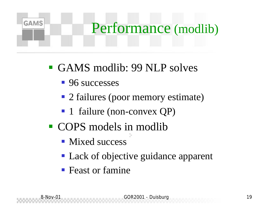### **GAMS** Performance (modlib)

- ß GAMS modlib: 99 NLP solves
	- 96 successes
	- 2 failures (poor memory estimate)
	- 1 failure (non-convex QP)
- COPS models in modlib
	- Mixed success
	- Lack of objective guidance apparent
	- **F** Feast or famine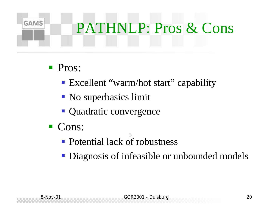### **GAMS** PATHNLP: Pros & Cons

- **Pros:** 
	- Excellent "warm/hot start" capability
	- No superbasics limit
	- Quadratic convergence
- $\blacksquare$  Cons:
	- Potential lack of robustness
	- Diagnosis of infeasible or unbounded models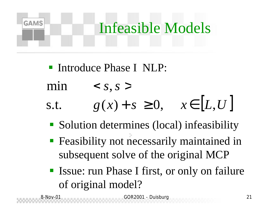## **GAMS** Infeasible Models

- **F** Introduce Phase I NLP:
- $\langle S, S \rangle$  $min$
- s.t.  $g(x) + s \ge 0, \quad x \in [L, U]$ 
	- Solution determines (local) infeasibility
	- **Feasibility not necessarily maintained in** subsequent solve of the original MCP
	- **Exercise:** run Phase I first, or only on failure of original model?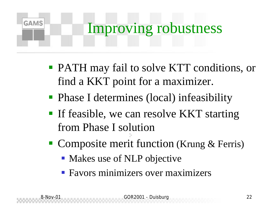### **GAMS** Improving robustness

- **PATH may fail to solve KTT conditions, or** find a KKT point for a maximizer.
- Phase I determines (local) infeasibility
- **If feasible, we can resolve KKT starting** from Phase I solution
- Composite merit function (Krung & Ferris)
	- Makes use of NLP objective
	- **Favors minimizers over maximizers**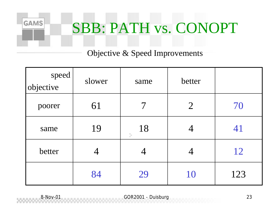

Objective & Speed Improvements

| speed<br>objective | slower | same     | better         |     |
|--------------------|--------|----------|----------------|-----|
| poorer             | 61     |          | $\overline{2}$ | 70  |
| same               | 19     | 18<br>þ. |                | 41  |
| better             |        |          | 4              | 12  |
|                    | 84     | 29       | 10             | 123 |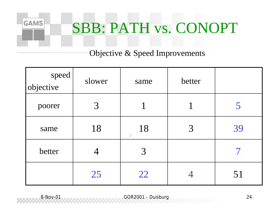

Objective & Speed Improvements

| speed<br>objective | slower | same     | better |    |
|--------------------|--------|----------|--------|----|
| poorer             | 3      |          |        |    |
| same               | 18     | 18<br>×. | 3      | 39 |
| better             |        | 3        |        |    |
|                    | 25     | 22       |        | 51 |